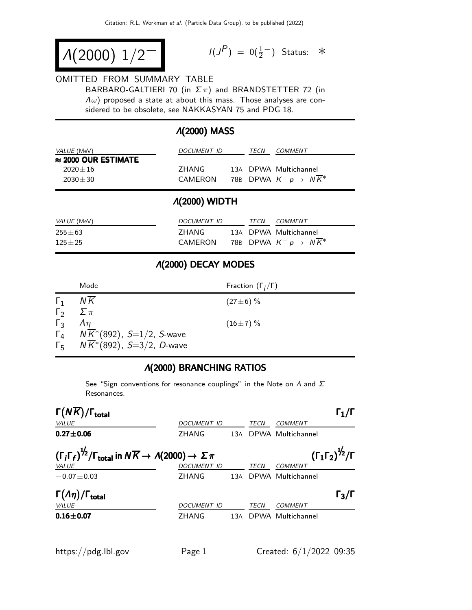$$
\Lambda(2000) \; 1/2^{-1} \qquad \qquad ^{1/3}
$$

$$
I(J^P) = 0(\frac{1}{2}^-) \quad \text{Status:} \quad *
$$

## OMITTED FROM SUMMARY TABLE

BARBARO-GALTIERI 70 (in  $\Sigma \pi$ ) and BRANDSTETTER 72 (in  $\Lambda \omega$ ) proposed a state at about this mass. Those analyses are considered to be obsolete, see NAKKASYAN 75 and PDG 18.

## Λ(2000) MASS

| <i>VALUE</i> (MeV)          | DOCUMENT ID | TFCN | COMMENT                                       |
|-----------------------------|-------------|------|-----------------------------------------------|
| $\approx$ 2000 OUR ESTIMATE |             |      |                                               |
| $2020 + 16$                 | 7HANG       |      | 13A DPWA Multichannel                         |
| $2030 + 30$                 | CAMERON     |      | 78B DPWA $K^- p \rightarrow N \overline{K}^*$ |

## Λ(2000) WIDTH

| <i>VALUE</i> (MeV)         | DOCUMENT ID      | <b>TFCN</b> | COMMENT                                                                      |
|----------------------------|------------------|-------------|------------------------------------------------------------------------------|
| $255 \pm 63$<br>$125 + 25$ | 7HANG<br>CAMERON |             | 13A DPWA Multichannel<br>78B DPWA $K^- \rho \rightarrow~ N \overline{K}{}^*$ |

#### Λ(2000) DECAY MODES

|              | Mode                                               | Fraction $(\Gamma_i/\Gamma)$ |
|--------------|----------------------------------------------------|------------------------------|
| $\Gamma_1$   | ΝK                                                 | $(27 \pm 6) \%$              |
| $\Gamma_{2}$ | $\sum \pi$                                         |                              |
| $\Gamma_{3}$ | $\Lambda$                                          | $(16\pm7)\%$                 |
|              | $\Gamma_4$ $N\overline{K}$ (892), S=1/2, S-wave    |                              |
|              | $\Gamma_5$ N $\overline{K}^*(892)$ , S=3/2, D-wave |                              |

# Λ(2000) BRANCHING RATIOS

See "Sign conventions for resonance couplings" in the Note on  $\Lambda$  and  $\Sigma$ Resonances.

| $\Gamma(N\overline{K})/\Gamma_{\rm total}$                                                                                                 |                    |       |             |                                                           | $\mathbf{1}_{1}/\mathbf{I}$ |
|--------------------------------------------------------------------------------------------------------------------------------------------|--------------------|-------|-------------|-----------------------------------------------------------|-----------------------------|
| VALUE                                                                                                                                      | DOCUMENT ID        |       | TECN        | COMMENT                                                   |                             |
| $0.27 \pm 0.06$                                                                                                                            | ZHANG              | 13A   |             | DPWA Multichannel                                         |                             |
| $(\Gamma_i \Gamma_f)^{\frac{1}{2}} / \Gamma_{\text{total}}$ in $N \overline{K} \rightarrow A(2000) \rightarrow \Sigma \pi$<br><b>VALUE</b> | <b>DOCUMENT ID</b> |       | <b>TECN</b> | $(\Gamma_1 \Gamma_2)^{\frac{1}{2}}$ / $\Gamma$<br>COMMENT |                             |
| $-0.07 \pm 0.03$                                                                                                                           | ZHANG              | 13A   |             | DPWA Multichannel                                         |                             |
| $\Gamma(\Lambda \eta)/\Gamma_{\rm total}$<br>VALUE                                                                                         | DOCUMENT ID        |       | TECN        | COMMENT                                                   | $\Gamma_3/\Gamma$           |
| $0.16 + 0.07$                                                                                                                              | ZHANG              | 13A - |             | DPWA Multichannel                                         |                             |
|                                                                                                                                            |                    |       |             |                                                           |                             |